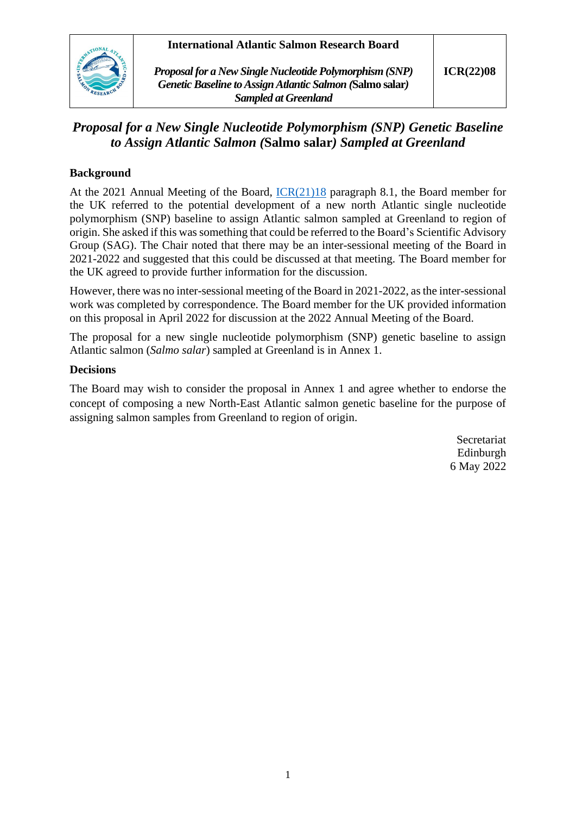## **International Atlantic Salmon Research Board**



*Proposal for a New Single Nucleotide Polymorphism (SNP) Genetic Baseline to Assign Atlantic Salmon (***Salmo salar***) Sampled at Greenland*

# *Proposal for a New Single Nucleotide Polymorphism (SNP) Genetic Baseline to Assign Atlantic Salmon (***Salmo salar***) Sampled at Greenland*

## **Background**

At the 2021 Annual Meeting of the Board, [ICR\(21\)18](https://salmonatsea.com/wp-content/uploads/2021/09/ICR2118_Report-of-the-Twentieth-Meeting-of-the-International-Atlantic-Salmon-Research-Board.pdf) paragraph 8.1, the Board member for the UK referred to the potential development of a new north Atlantic single nucleotide polymorphism (SNP) baseline to assign Atlantic salmon sampled at Greenland to region of origin. She asked if this was something that could be referred to the Board's Scientific Advisory Group (SAG). The Chair noted that there may be an inter-sessional meeting of the Board in 2021-2022 and suggested that this could be discussed at that meeting. The Board member for the UK agreed to provide further information for the discussion.

However, there was no inter-sessional meeting of the Board in 2021-2022, as the inter-sessional work was completed by correspondence. The Board member for the UK provided information on this proposal in April 2022 for discussion at the 2022 Annual Meeting of the Board.

The proposal for a new single nucleotide polymorphism (SNP) genetic baseline to assign Atlantic salmon (*Salmo salar*) sampled at Greenland is in Annex 1.

#### **Decisions**

The Board may wish to consider the proposal in Annex 1 and agree whether to endorse the concept of composing a new North-East Atlantic salmon genetic baseline for the purpose of assigning salmon samples from Greenland to region of origin.

> Secretariat Edinburgh 6 May 2022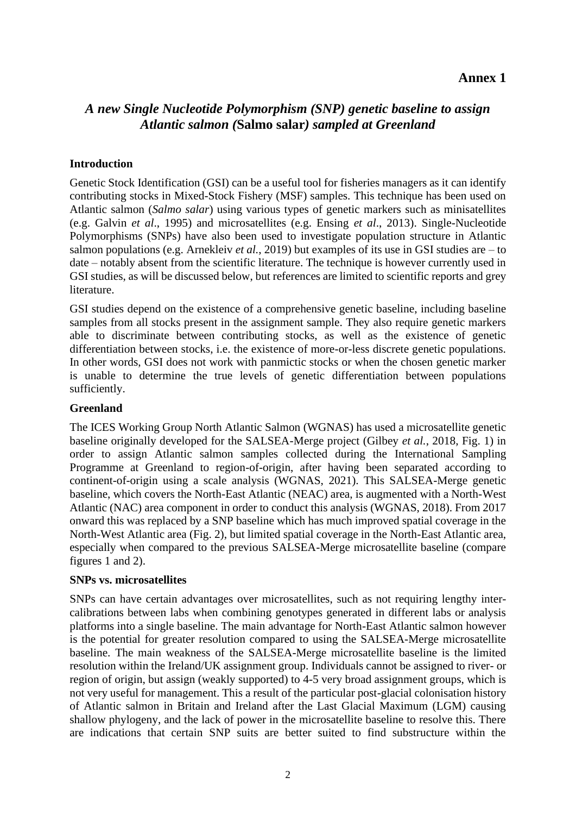# **Annex 1**

# *A new Single Nucleotide Polymorphism (SNP) genetic baseline to assign Atlantic salmon (***Salmo salar***) sampled at Greenland*

### **Introduction**

Genetic Stock Identification (GSI) can be a useful tool for fisheries managers as it can identify contributing stocks in Mixed-Stock Fishery (MSF) samples. This technique has been used on Atlantic salmon (*Salmo salar*) using various types of genetic markers such as minisatellites (e.g. Galvin *et al*., 1995) and microsatellites (e.g. Ensing *et al*., 2013). Single-Nucleotide Polymorphisms (SNPs) have also been used to investigate population structure in Atlantic salmon populations (e.g. Arnekleiv *et al.*, 2019) but examples of its use in GSI studies are – to date – notably absent from the scientific literature. The technique is however currently used in GSI studies, as will be discussed below, but references are limited to scientific reports and grey literature.

GSI studies depend on the existence of a comprehensive genetic baseline, including baseline samples from all stocks present in the assignment sample. They also require genetic markers able to discriminate between contributing stocks, as well as the existence of genetic differentiation between stocks, i.e. the existence of more-or-less discrete genetic populations. In other words, GSI does not work with panmictic stocks or when the chosen genetic marker is unable to determine the true levels of genetic differentiation between populations sufficiently.

#### **Greenland**

The ICES Working Group North Atlantic Salmon (WGNAS) has used a microsatellite genetic baseline originally developed for the SALSEA-Merge project (Gilbey *et al.*, 2018, Fig. 1) in order to assign Atlantic salmon samples collected during the International Sampling Programme at Greenland to region-of-origin, after having been separated according to continent-of-origin using a scale analysis (WGNAS, 2021). This SALSEA-Merge genetic baseline, which covers the North-East Atlantic (NEAC) area, is augmented with a North-West Atlantic (NAC) area component in order to conduct this analysis (WGNAS, 2018). From 2017 onward this was replaced by a SNP baseline which has much improved spatial coverage in the North-West Atlantic area (Fig. 2), but limited spatial coverage in the North-East Atlantic area, especially when compared to the previous SALSEA-Merge microsatellite baseline (compare figures 1 and 2).

### **SNPs vs. microsatellites**

SNPs can have certain advantages over microsatellites, such as not requiring lengthy intercalibrations between labs when combining genotypes generated in different labs or analysis platforms into a single baseline. The main advantage for North-East Atlantic salmon however is the potential for greater resolution compared to using the SALSEA-Merge microsatellite baseline. The main weakness of the SALSEA-Merge microsatellite baseline is the limited resolution within the Ireland/UK assignment group. Individuals cannot be assigned to river- or region of origin, but assign (weakly supported) to 4-5 very broad assignment groups, which is not very useful for management. This a result of the particular post-glacial colonisation history of Atlantic salmon in Britain and Ireland after the Last Glacial Maximum (LGM) causing shallow phylogeny, and the lack of power in the microsatellite baseline to resolve this. There are indications that certain SNP suits are better suited to find substructure within the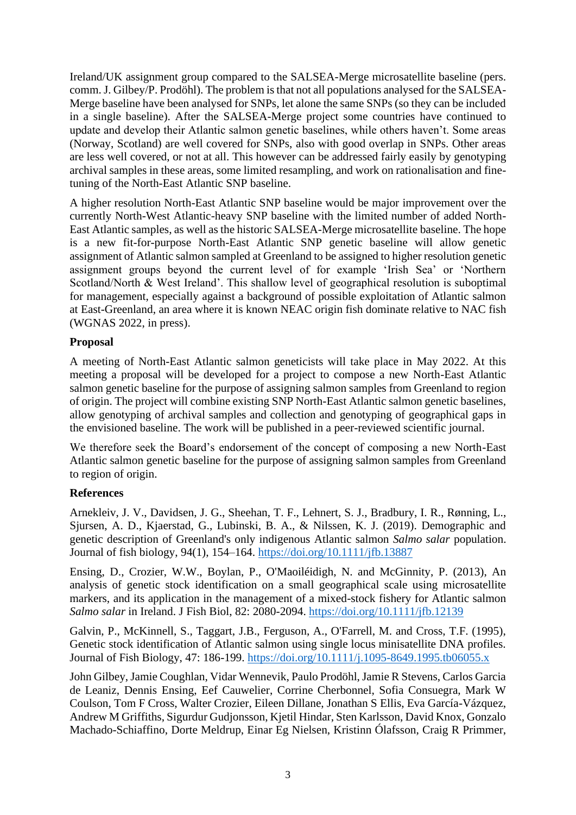Ireland/UK assignment group compared to the SALSEA-Merge microsatellite baseline (pers. comm. J. Gilbey/P. Prodöhl). The problem is that not all populations analysed for the SALSEA-Merge baseline have been analysed for SNPs, let alone the same SNPs (so they can be included in a single baseline). After the SALSEA-Merge project some countries have continued to update and develop their Atlantic salmon genetic baselines, while others haven't. Some areas (Norway, Scotland) are well covered for SNPs, also with good overlap in SNPs. Other areas are less well covered, or not at all. This however can be addressed fairly easily by genotyping archival samples in these areas, some limited resampling, and work on rationalisation and finetuning of the North-East Atlantic SNP baseline.

A higher resolution North-East Atlantic SNP baseline would be major improvement over the currently North-West Atlantic-heavy SNP baseline with the limited number of added North-East Atlantic samples, as well as the historic SALSEA-Merge microsatellite baseline. The hope is a new fit-for-purpose North-East Atlantic SNP genetic baseline will allow genetic assignment of Atlantic salmon sampled at Greenland to be assigned to higher resolution genetic assignment groups beyond the current level of for example 'Irish Sea' or 'Northern Scotland/North & West Ireland'. This shallow level of geographical resolution is suboptimal for management, especially against a background of possible exploitation of Atlantic salmon at East-Greenland, an area where it is known NEAC origin fish dominate relative to NAC fish (WGNAS 2022, in press).

#### **Proposal**

A meeting of North-East Atlantic salmon geneticists will take place in May 2022. At this meeting a proposal will be developed for a project to compose a new North-East Atlantic salmon genetic baseline for the purpose of assigning salmon samples from Greenland to region of origin. The project will combine existing SNP North-East Atlantic salmon genetic baselines, allow genotyping of archival samples and collection and genotyping of geographical gaps in the envisioned baseline. The work will be published in a peer-reviewed scientific journal.

We therefore seek the Board's endorsement of the concept of composing a new North-East Atlantic salmon genetic baseline for the purpose of assigning salmon samples from Greenland to region of origin.

### **References**

Arnekleiv, J. V., Davidsen, J. G., Sheehan, T. F., Lehnert, S. J., Bradbury, I. R., Rønning, L., Sjursen, A. D., Kjaerstad, G., Lubinski, B. A., & Nilssen, K. J. (2019). Demographic and genetic description of Greenland's only indigenous Atlantic salmon *Salmo salar* population. Journal of fish biology, 94(1), 154–164.<https://doi.org/10.1111/jfb.13887>

Ensing, D., Crozier, W.W., Boylan, P., O'Maoiléidigh, N. and McGinnity, P. (2013), An analysis of genetic stock identification on a small geographical scale using microsatellite markers, and its application in the management of a mixed-stock fishery for Atlantic salmon *Salmo salar* in Ireland. J Fish Biol, 82: 2080-2094.<https://doi.org/10.1111/jfb.12139>

Galvin, P., McKinnell, S., Taggart, J.B., Ferguson, A., O'Farrell, M. and Cross, T.F. (1995), Genetic stock identification of Atlantic salmon using single locus minisatellite DNA profiles. Journal of Fish Biology, 47: 186-199.<https://doi.org/10.1111/j.1095-8649.1995.tb06055.x>

John Gilbey, Jamie Coughlan, Vidar Wennevik, Paulo Prodöhl, Jamie R Stevens, Carlos Garcia de Leaniz, Dennis Ensing, Eef Cauwelier, Corrine Cherbonnel, Sofia Consuegra, Mark W Coulson, Tom F Cross, Walter Crozier, Eileen Dillane, Jonathan S Ellis, Eva García-Vázquez, Andrew M Griffiths, Sigurdur Gudjonsson, Kjetil Hindar, Sten Karlsson, David Knox, Gonzalo Machado-Schiaffino, Dorte Meldrup, Einar Eg Nielsen, Kristinn Ólafsson, Craig R Primmer,